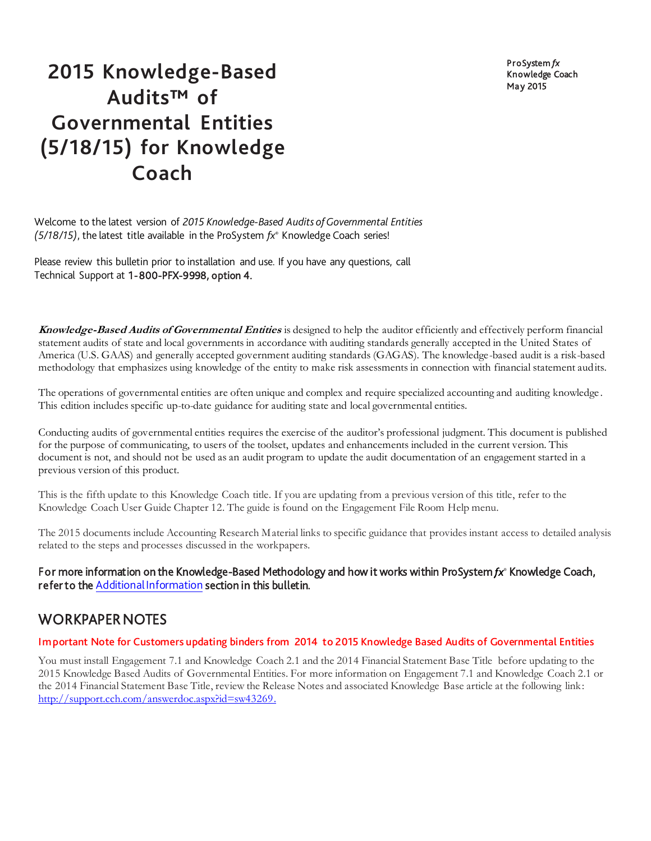ProSystem *fx* Knowledge Coach May 2015

# **2015 Knowledge-Based Audits™ of Governmental Entities (5/18/15) for Knowledge Coach**

Welcome to the latest version of *2015 Knowledge-Based Audits of Governmental Entities (5/18/15)*, the latest title available in the ProSystem *fx*® Knowledge Coach series!

Please review this bulletin prior to installation and use. If you have any questions, call Technical Support at 1-800-PFX-9998, option 4.

**Knowledge-Based Audits of Governmental Entities** is designed to help the auditor efficiently and effectively perform financial statement audits of state and local governments in accordance with auditing standards generally accepted in the United States of America (U.S. GAAS) and generally accepted government auditing standards (GAGAS). The knowledge-based audit is a risk-based methodology that emphasizes using knowledge of the entity to make risk assessments in connection with financial statement audits.

The operations of governmental entities are often unique and complex and require specialized accounting and auditing knowledge . This edition includes specific up-to-date guidance for auditing state and local governmental entities.

Conducting audits of governmental entities requires the exercise of the auditor's professional judgment. This document is published for the purpose of communicating, to users of the toolset, updates and enhancements included in the current version. This document is not, and should not be used as an audit program to update the audit documentation of an engagement started in a previous version of this product.

This is the fifth update to this Knowledge Coach title. If you are updating from a previous version of this title, refer to the Knowledge Coach User Guide Chapter 12. The guide is found on the Engagement File Room Help menu.

The 2015 documents include Accounting Research Material links to specific guidance that provides instant access to detailed analysis related to the steps and processes discussed in the workpapers.

### For more information on the Knowledge-Based Methodology and how it works within ProSystem *fx*® Knowledge Coach, refer to th[e Additional Information](#page-3-0) section in this bulletin.

# WORKPAPER NOTES

### Important Note for Customers updating binders from 2014 to 2015 Knowledge Based Audits of Governmental Entities

You must install Engagement 7.1 and Knowledge Coach 2.1 and the 2014 Financial Statement Base Title before updating to the 2015 Knowledge Based Audits of Governmental Entities. For more information on Engagement 7.1 and Knowledge Coach 2.1 or the 2014 Financial Statement Base Title, review the Release Notes and associated Knowledge Base article at the following link: http://support.cch.com/answerdoc.aspx?id=sw43269.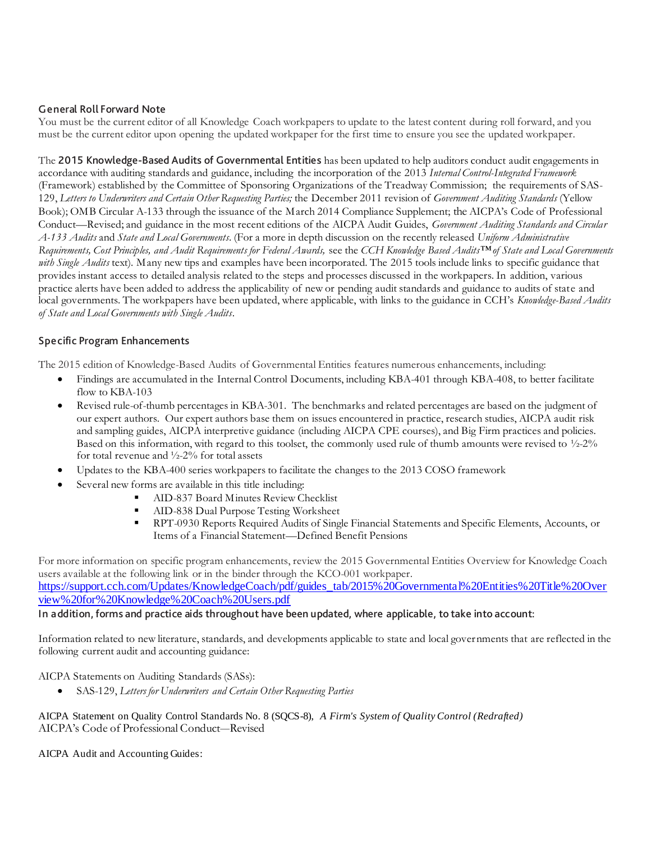### General Roll Forward Note

You must be the current editor of all Knowledge Coach workpapers to update to the latest content during roll forward, and you must be the current editor upon opening the updated workpaper for the first time to ensure you see the updated workpaper.

The 2015 Knowledge-Based Audits of Governmental Entities has been updated to help auditors conduct audit engagements in accordance with auditing standards and guidance, including the incorporation of the 2013 *Internal Control-Integrated Framework* (Framework) established by the Committee of Sponsoring Organizations of the Treadway Commission; the requirements of SAS-129, *Letters to Underwriters and Certain Other Requesting Parties;* the December 2011 revision of *Government Auditing Standards* (Yellow Book); OMB Circular A-133 through the issuance of the March 2014 Compliance Supplement; the AICPA's Code of Professional Conduct—Revised; and guidance in the most recent editions of the AICPA Audit Guides, *Government Auditing Standards and Circular A-133 Audits* and *State and Local Governments*. (For a more in depth discussion on the recently released *Uniform Administrative Requirements, Cost Principles, and Audit Requirements for Federal Awards,* see the *CCH Knowledge Based Audits™of State and Local Governments*  with Single Audits text). Many new tips and examples have been incorporated. The 2015 tools include links to specific guidance that provides instant access to detailed analysis related to the steps and processes discussed in the workpapers. In addition, various practice alerts have been added to address the applicability of new or pending audit standards and guidance to audits of state and local governments. The workpapers have been updated, where applicable, with links to the guidance in CCH's *Knowledge-Based Audits of State and Local Governments with Single Audits*.

### Specific Program Enhancements

The 2015 edition of Knowledge-Based Audits of Governmental Entities features numerous enhancements, including:

- Findings are accumulated in the Internal Control Documents, including KBA-401 through KBA-408, to better facilitate flow to KBA-103
- Revised rule-of-thumb percentages in KBA-301. The benchmarks and related percentages are based on the judgment of our expert authors. Our expert authors base them on issues encountered in practice, research studies, AICPA audit risk and sampling guides, AICPA interpretive guidance (including AICPA CPE courses), and Big Firm practices and policies. Based on this information, with regard to this toolset, the commonly used rule of thumb amounts were revised to ½-2% for total revenue and ½-2% for total assets
- Updates to the KBA-400 series workpapers to facilitate the changes to the 2013 COSO framework
- Several new forms are available in this title including:
	- AID-837 Board Minutes Review Checklist
	- AID-838 Dual Purpose Testing Worksheet
	- RPT-0930 Reports Required Audits of Single Financial Statements and Specific Elements, Accounts, or Items of a Financial Statement—Defined Benefit Pensions

For more information on specific program enhancements, review the 2015 Governmental Entities Overview for Knowledge Coach users available at the following link or in the binder through the KCO-001 workpaper. [https://support.cch.com/Updates/KnowledgeCoach/pdf/guides\\_tab/2015%20Governmental%20Entities%20Title%20Over](https://support.cch.com/Updates/KnowledgeCoach/pdf/guides_tab/2015%20Governmental%20Entities%20Title%20Overview%20for%20Knowledge%20Coach%20Users.pdf) [view%20for%20Knowledge%20Coach%20Users.pdf](https://support.cch.com/Updates/KnowledgeCoach/pdf/guides_tab/2015%20Governmental%20Entities%20Title%20Overview%20for%20Knowledge%20Coach%20Users.pdf)

#### In addition, forms and practice aids throughout have been updated, where applicable, to take into account:

Information related to new literature, standards, and developments applicable to state and local governments that are reflected in the following current audit and accounting guidance:

#### AICPA Statements on Auditing Standards (SASs):

SAS-129, *Letters for Underwriters and Certain Other Requesting Parties*

#### AICPA Statement on Quality Control Standards No. 8 (SQCS-8), *A Firm's System of Quality Control (Redrafted)* AICPA's Code of Professional Conduct*—*Revised

AICPA Audit and Accounting Guides: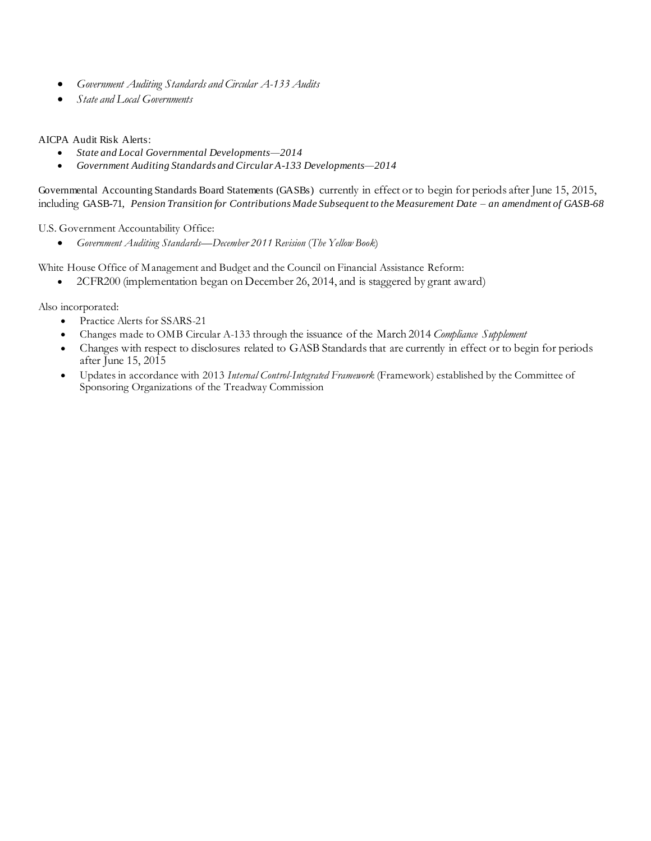- *Government Auditing Standards and Circular A-133 Audits*
- *State and Local Governments*

### AICPA Audit Risk Alerts:

- *State and Local Governmental Developments—2014*
- *[Government Auditing Standards and Circular A-133 Developments—2014](http://www.accountingresearchmanager.com/wk/rm.nsf/8befeab843ef00cd072564ac0082d2ad/a38491425ed4d0518625764100493761?OpenDocument&rnm=184359)*

Governmental Accounting Standards Board Statements (GASBs) currently in effect or to begin for periods after June 15, 2015, including GASB-71, *Pension Transition for Contributions Made Subsequent to the Measurement Date – an amendment of GASB-68*

U.S. Government Accountability Office:

*Government Auditing Standards—December 2011 Revision* (*The Yellow Book*)

White House Office of Management and Budget and the Council on Financial Assistance Reform:

• 2CFR200 (implementation began on December 26, 2014, and is staggered by grant award)

Also incorporated:

- Practice Alerts for SSARS-21
- Changes made to OMB Circular A-133 through the issuance of the March 2014 *Compliance Supplement*
- Changes with respect to disclosures related to GASB Standards that are currently in effect or to begin for periods after June 15, 2015
- Updates in accordance with 2013 *Internal Control-Integrated Framework* (Framework) established by the Committee of Sponsoring Organizations of the Treadway Commission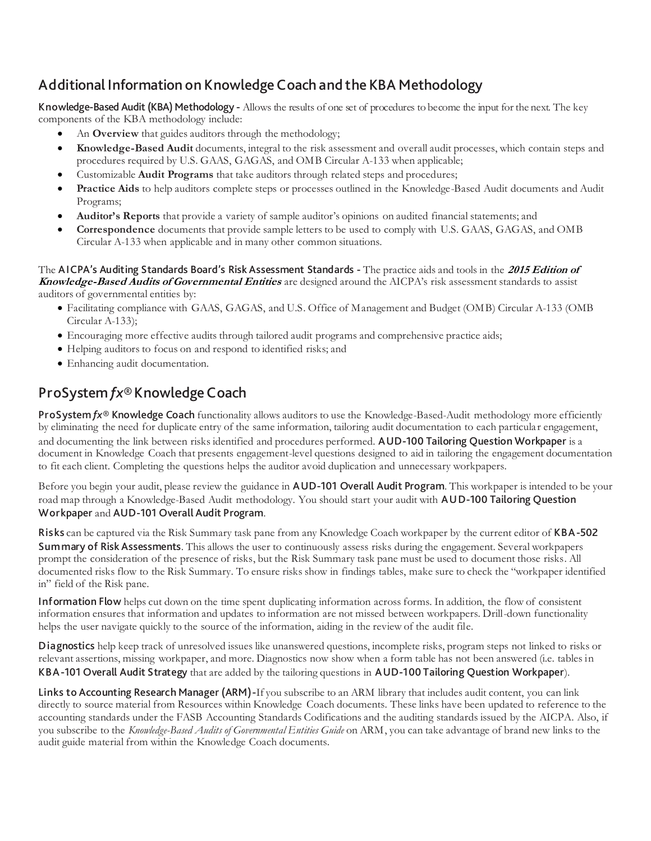# <span id="page-3-0"></span>Additional Information on Knowledge Coach and the KBA Methodology

Knowledge-Based Audit (KBA) Methodology - Allows the results of one set of procedures to become the input for the next. The key components of the KBA methodology include:

- An **Overview** that guides auditors through the methodology;
- **Knowledge-Based Audit** documents, integral to the risk assessment and overall audit processes, which contain steps and procedures required by U.S. GAAS, GAGAS, and OMB Circular A-133 when applicable;
- Customizable **Audit Programs** that take auditors through related steps and procedures;
- **Practice Aids** to help auditors complete steps or processes outlined in the Knowledge-Based Audit documents and Audit Programs;
- **Auditor's Reports** that provide a variety of sample auditor's opinions on audited financial statements; and
- **Correspondence** documents that provide sample letters to be used to comply with U.S. GAAS, GAGAS, and OMB Circular A-133 when applicable and in many other common situations.

The AICPA's Auditing Standards Board's Risk Assessment Standards - The practice aids and tools in the **<sup>2015</sup> Edition of Knowledge-Based Audits of Governmental Entities** are designed around the AICPA's risk assessment standards to assist auditors of governmental entities by:

- Facilitating compliance with GAAS, GAGAS, and U.S. Office of Management and Budget (OMB) Circular A-133 (OMB Circular A-133);
- Encouraging more effective audits through tailored audit programs and comprehensive practice aids;
- Helping auditors to focus on and respond to identified risks; and
- Enhancing audit documentation.

# ProSystem *fx*® Knowledge Coach

ProSystem fx<sup>®</sup> Knowledge Coach functionality allows auditors to use the Knowledge-Based-Audit methodology more efficiently by eliminating the need for duplicate entry of the same information, tailoring audit documentation to each particula r engagement, and documenting the link between risks identified and procedures performed. AUD-100 Tailoring Question Workpaper is a document in Knowledge Coach that presents engagement-level questions designed to aid in tailoring the engagement documentation to fit each client. Completing the questions helps the auditor avoid duplication and unnecessary workpapers.

Before you begin your audit, please review the guidance in AUD-101 Overall Audit Program. This workpaper is intended to be your road map through a Knowledge-Based Audit methodology. You should start your audit with AUD-100 Tailoring Question Workpaper and AUD-101 Overall Audit Program.

Risks can be captured via the Risk Summary task pane from any Knowledge Coach workpaper by the current editor of KBA-502 Summary of Risk Assessments. This allows the user to continuously assess risks during the engagement. Several workpapers prompt the consideration of the presence of risks, but the Risk Summary task pane must be used to document those risks. All documented risks flow to the Risk Summary. To ensure risks show in findings tables, make sure to check the "workpaper identified in" field of the Risk pane.

Information Flow helps cut down on the time spent duplicating information across forms. In addition, the flow of consistent information ensures that information and updates to information are not missed between workpapers. Drill-down functionality helps the user navigate quickly to the source of the information, aiding in the review of the audit file.

Diagnostics help keep track of unresolved issues like unanswered questions, incomplete risks, program steps not linked to risks or relevant assertions, missing workpaper, and more. Diagnostics now show when a form table has not been answered (i.e. tables in KBA-101 Overall Audit Strategy that are added by the tailoring questions in AUD-100 Tailoring Question Workpaper).

Links to Accounting Research Manager (ARM)-If you subscribe to an ARM library that includes audit content, you can link directly to source material from Resources within Knowledge Coach documents. These links have been updated to reference to the accounting standards under the FASB Accounting Standards Codifications and the auditing standards issued by the AICPA. Also, if you subscribe to the *Knowledge-Based Audits of Governmental Entities Guide* on ARM, you can take advantage of brand new links to the audit guide material from within the Knowledge Coach documents.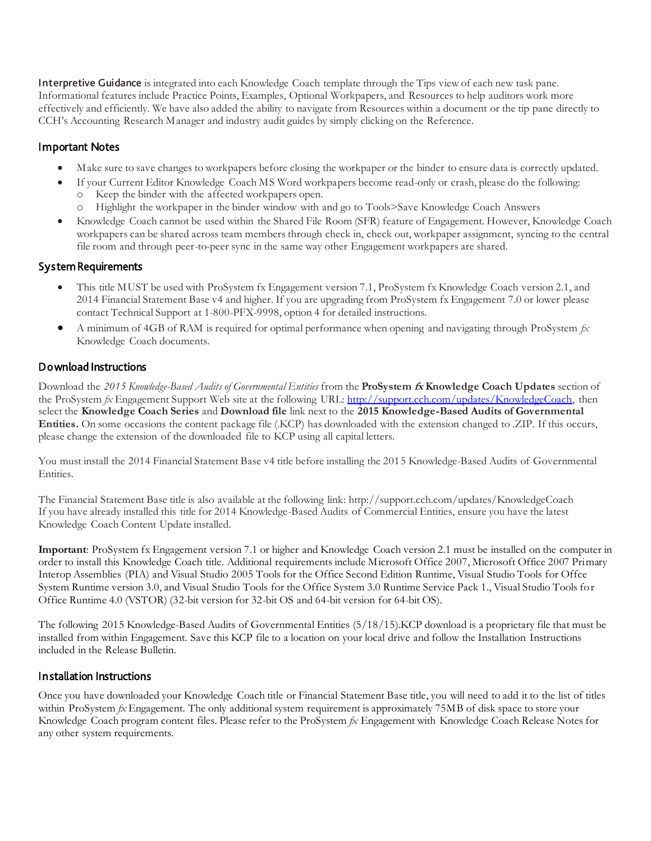Interpretive Guidance is integrated into each Knowledge Coach template through the Tips view of each new task pane. Informational features include Practice Points, Examples, Optional Workpapers, and Resources to help auditors work more effectively and efficiently. We have also added the ability to navigate from Resources within a document or the tip pane directly to CCH's Accounting Research Manager and industry audit guides by simply clicking on the Reference.

### Important Notes

- Make sure to save changes to workpapers before closing the workpaper or the binder to ensure data is correctly updated.
- If your Current Editor Knowledge Coach MS Word workpapers become read-only or crash, please do the following:
	- Keep the binder with the affected workpapers open.
	- Highlight the workpaper in the binder window with and go to Tools>Save Knowledge Coach Answers
- Knowledge Coach cannot be used within the Shared File Room (SFR) feature of Engagement. However, Knowledge Coach workpapers can be shared across team members through check in, check out, workpaper assignment, syncing to the central file room and through peer-to-peer sync in the same way other Engagement workpapers are shared.

### System Requirements

- This title MUST be used with ProSystem fx Engagement version 7.1, ProSystem fx Knowledge Coach version 2.1, and 2014 Financial Statement Base v4 and higher. If you are upgrading from ProSystem fx Engagement 7.0 or lower please contact Technical Support at 1-800-PFX-9998, option 4 for detailed instructions.
- A minimum of 4GB of RAM is required for optimal performance when opening and navigating through ProSystem *fx*  Knowledge Coach documents.

### Download Instructions

Download the *2015 Knowledge-Based Audits of Governmental Entities* from the **ProSystem fx Knowledge Coach Updates** section of the ProSystem *fx* Engagement Support Web site at the following URL: [http://support.cch.com/updates/KnowledgeCoach,](http://support.cch.com/updates/KnowledgeCoach) then select the **Knowledge Coach Series** and **Download file** link next to the **2015 Knowledge-Based Audits of Governmental Entities.** On some occasions the content package file (.KCP) has downloaded with the extension changed to .ZIP. If this occurs, please change the extension of the downloaded file to KCP using all capital letters.

You must install the 2014 Financial Statement Base v4 title before installing the 2015 Knowledge-Based Audits of Governmental Entities.

The Financial Statement Base title is also available at the following link: http://support.cch.com/updates/KnowledgeCoach If you have already installed this title for 2014 Knowledge-Based Audits of Commercial Entities, ensure you have the latest Knowledge Coach Content Update installed.

**Important**: ProSystem fx Engagement version 7.1 or higher and Knowledge Coach version 2.1 must be installed on the computer in order to install this Knowledge Coach title. Additional requirements include Microsoft Office 2007, Microsoft Office 2007 Primary Interop Assemblies (PIA) and Visual Studio 2005 Tools for the Office Second Edition Runtime, Visual Studio Tools for Offce System Runtime version 3.0, and Visual Studio Tools for the Office System 3.0 Runtime Service Pack 1., Visual Studio Tools for Office Runtime 4.0 (VSTOR) (32-bit version for 32-bit OS and 64-bit version for 64-bit OS).

The following 2015 Knowledge-Based Audits of Governmental Entities (5/18/15).KCP download is a proprietary file that must be installed from within Engagement. Save this KCP file to a location on your local drive and follow the Installation Instructions included in the Release Bulletin.

### Installation Instructions

Once you have downloaded your Knowledge Coach title or Financial Statement Base title, you will need to add it to the list of titles within ProSystem *fx* Engagement. The only additional system requirement is approximately 75MB of disk space to store your Knowledge Coach program content files. Please refer to the ProSystem *fx* Engagement with Knowledge Coach Release Notes for any other system requirements.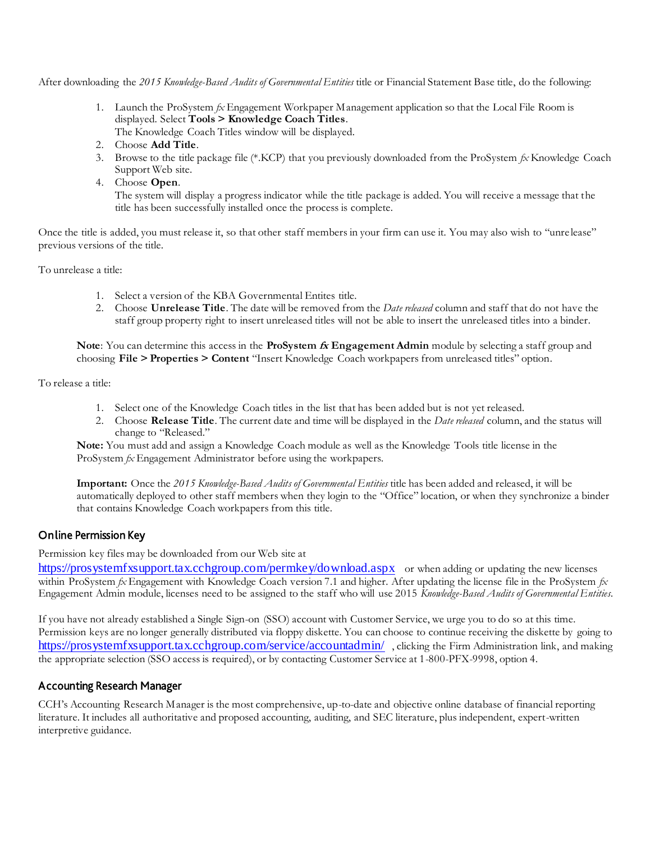After downloading the *2015 Knowledge-Based Audits of Governmental Entities* title or Financial Statement Base title, do the following:

- 1. Launch the ProSystem *fx* Engagement Workpaper Management application so that the Local File Room is displayed. Select **Tools > Knowledge Coach Titles**.
	- The Knowledge Coach Titles window will be displayed.
- 2. Choose **Add Title**.
- 3. Browse to the title package file (\*.KCP) that you previously downloaded from the ProSystem *fx* Knowledge Coach Support Web site.
- 4. Choose **Open**.

The system will display a progress indicator while the title package is added. You will receive a message that the title has been successfully installed once the process is complete.

Once the title is added, you must release it, so that other staff members in your firm can use it. You may also wish to "unre lease" previous versions of the title.

To unrelease a title:

- 1. Select a version of the KBA Governmental Entites title.
- 2. Choose **Unrelease Title**. The date will be removed from the *Date released* column and staff that do not have the staff group property right to insert unreleased titles will not be able to insert the unreleased titles into a binder.

**Note**: You can determine this access in the **ProSystem fx Engagement Admin** module by selecting a staff group and choosing **File > Properties > Content** "Insert Knowledge Coach workpapers from unreleased titles" option.

To release a title:

- 1. Select one of the Knowledge Coach titles in the list that has been added but is not yet released.
- 2. Choose **Release Title**. The current date and time will be displayed in the *Date released* column, and the status will change to "Released."

**Note:** You must add and assign a Knowledge Coach module as well as the Knowledge Tools title license in the ProSystem *fx* Engagement Administrator before using the workpapers.

**Important:** Once the *2015 Knowledge-Based Audits of Governmental Entities* title has been added and released, it will be automatically deployed to other staff members when they login to the "Office" location, or when they synchronize a binder that contains Knowledge Coach workpapers from this title.

### Online Permission Key

Permission key files may be downloaded from our Web site at

<https://prosystemfxsupport.tax.cchgroup.com/permkey/download.aspx> or when adding or updating the new licenses within ProSystem *fx* Engagement with Knowledge Coach version 7.1 and higher. After updating the license file in the ProSystem *fx*  Engagement Admin module, licenses need to be assigned to the staff who will use 2015 *Knowledge-Based Audits of Governmental Entities*.

If you have not already established a Single Sign-on (SSO) account with Customer Service, we urge you to do so at this time. Permission keys are no longer generally distributed via floppy diskette. You can choose to continue receiving the diskette by going to <https://prosystemfxsupport.tax.cchgroup.com/service/accountadmin/> , clicking the Firm Administration link, and making the appropriate selection (SSO access is required), or by contacting Customer Service at 1-800-PFX-9998, option 4.

### Accounting Research Manager

CCH's Accounting Research Manager is the most comprehensive, up-to-date and objective online database of financial reporting literature. It includes all authoritative and proposed accounting, auditing, and SEC literature, plus independent, expert-written interpretive guidance.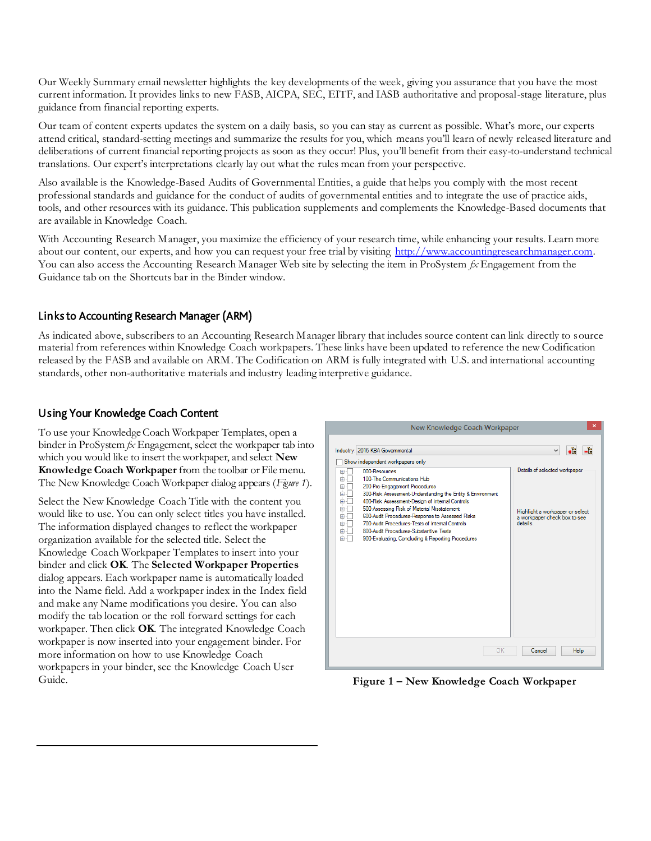Our Weekly Summary email newsletter highlights the key developments of the week, giving you assurance that you have the most current information. It provides links to new FASB, AICPA, SEC, EITF, and IASB authoritative and proposal-stage literature, plus guidance from financial reporting experts.

Our team of content experts updates the system on a daily basis, so you can stay as current as possible. What's more, our experts attend critical, standard-setting meetings and summarize the results for you, which means you'll learn of newly released literature and deliberations of current financial reporting projects as soon as they occur! Plus, you'll benefit from their easy-to-understand technical translations. Our expert's interpretations clearly lay out what the rules mean from your perspective.

Also available is the Knowledge-Based Audits of Governmental Entities, a guide that helps you comply with the most recent professional standards and guidance for the conduct of audits of governmental entities and to integrate the use of practice aids, tools, and other resources with its guidance. This publication supplements and complements the Knowledge-Based documents that are available in Knowledge Coach.

With Accounting Research Manager, you maximize the efficiency of your research time, while enhancing your results. Learn more about our content, our experts, and how you can request your free trial by visiting [http://www.accountingresearchmanager.com.](http://www.accountingresearchmanager.com/) You can also access the Accounting Research Manager Web site by selecting the item in ProSystem *fx* Engagement from the Guidance tab on the Shortcuts bar in the Binder window.

# Links to Accounting Research Manager (ARM)

As indicated above, subscribers to an Accounting Research Manager library that includes source content can link directly to source material from references within Knowledge Coach workpapers. These links have been updated to reference the new Codification released by the FASB and available on ARM. The Codification on ARM is fully integrated with U.S. and international accounting standards, other non-authoritative materials and industry leading interpretive guidance.

## Using Your Knowledge Coach Content

To use your Knowledge Coach Workpaper Templates, open a binder in ProSystem *fx* Engagement, select the workpaper tab into which you would like to insert the workpaper, and select **New Knowledge Coach Workpaper** from the toolbar or File menu. The New Knowledge Coach Workpaper dialog appears (*Figure 1*).

Select the New Knowledge Coach Title with the content you would like to use. You can only select titles you have installed. The information displayed changes to reflect the workpaper organization available for the selected title. Select the Knowledge Coach Workpaper Templates to insert into your binder and click **OK**. The **Selected Workpaper Properties** dialog appears. Each workpaper name is automatically loaded into the Name field. Add a workpaper index in the Index field and make any Name modifications you desire. You can also modify the tab location or the roll forward settings for each workpaper. Then click **OK**. The integrated Knowledge Coach workpaper is now inserted into your engagement binder. For more information on how to use Knowledge Coach workpapers in your binder, see the Knowledge Coach User Guide.



**Figure 1 – New Knowledge Coach Workpaper**